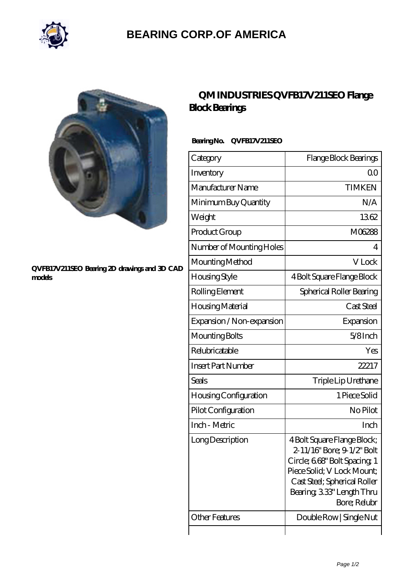

## **[BEARING CORP.OF AMERICA](https://bluemondayreview.com)**



#### **[QVFB17V211SEO Bearing 2D drawings and 3D CAD](https://bluemondayreview.com/pic-175389.html) [models](https://bluemondayreview.com/pic-175389.html)**

## **[QM INDUSTRIES QVFB17V211SEO Flange](https://bluemondayreview.com/az-175389-qm-industries-qvfb17v211seo-flange-block-bearings.html) [Block Bearings](https://bluemondayreview.com/az-175389-qm-industries-qvfb17v211seo-flange-block-bearings.html)**

### **Bearing No. QVFB17V211SEO**

| Category                     | Flange Block Bearings                                                                                                                                                                               |
|------------------------------|-----------------------------------------------------------------------------------------------------------------------------------------------------------------------------------------------------|
| Inventory                    | 0 <sup>0</sup>                                                                                                                                                                                      |
| Manufacturer Name            | <b>TIMKEN</b>                                                                                                                                                                                       |
| Minimum Buy Quantity         | N/A                                                                                                                                                                                                 |
| Weight                       | 1362                                                                                                                                                                                                |
| Product Group                | M06288                                                                                                                                                                                              |
| Number of Mounting Holes     | 4                                                                                                                                                                                                   |
| Mounting Method              | V Lock                                                                                                                                                                                              |
| <b>Housing Style</b>         | 4 Bolt Square Flange Block                                                                                                                                                                          |
| Rolling Element              | Spherical Roller Bearing                                                                                                                                                                            |
| Housing Material             | Cast Steel                                                                                                                                                                                          |
| Expansion / Non-expansion    | Expansion                                                                                                                                                                                           |
| Mounting Bolts               | $5/8$ Inch                                                                                                                                                                                          |
| Relubricatable               | Yes                                                                                                                                                                                                 |
| <b>Insert Part Number</b>    | 22217                                                                                                                                                                                               |
| Seals                        | Triple Lip Urethane                                                                                                                                                                                 |
| <b>Housing Configuration</b> | 1 Piece Solid                                                                                                                                                                                       |
| Pilot Configuration          | No Pilot                                                                                                                                                                                            |
| Inch - Metric                | Inch                                                                                                                                                                                                |
| Long Description             | 4 Bolt Square Flange Block;<br>2-11/16" Bore; 9-1/2" Bolt<br>Circle; 668" Bolt Spacing 1<br>Piece Solid; V Lock Mount;<br>Cast Steel; Spherical Roller<br>Bearing, 333" Length Thru<br>Bore; Relubr |
| Other Features               | Double Row   Single Nut                                                                                                                                                                             |
|                              |                                                                                                                                                                                                     |